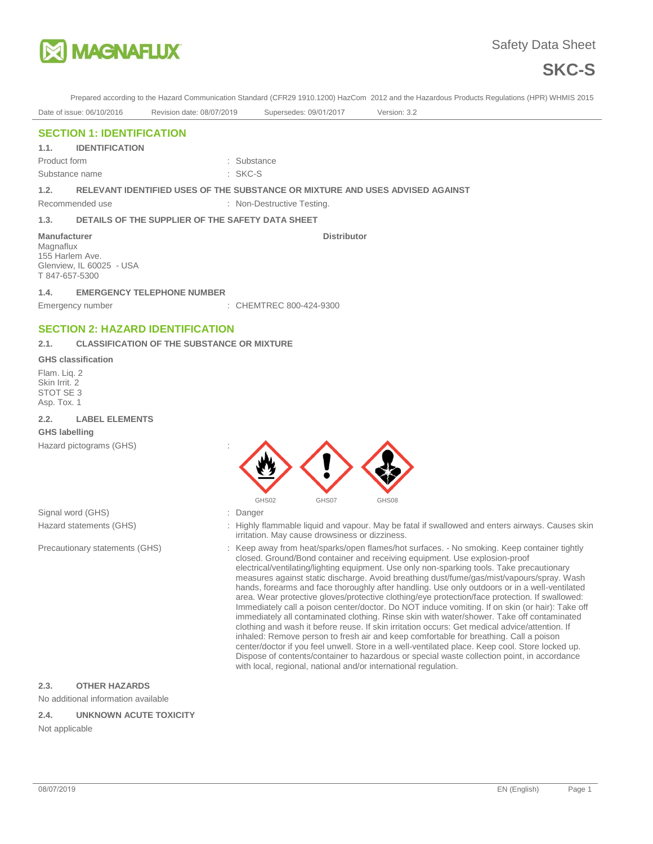



Prepared according to the Hazard Communication Standard (CFR29 1910.1200) HazCom 2012 and the Hazardous Products Regulations (HPR) WHMIS 2015

Date of issue: 06/10/2016 Revision date: 08/07/2019 Supersedes: 09/01/2017 Version: 3.2

**Distributor** 

## **SECTION 1: IDENTIFICATION**

**1.1. IDENTIFICATION** 

Product form **: Substance** : Substance Substance name : SKC-S

**1.2. RELEVANT IDENTIFIED USES OF THE SUBSTANCE OR MIXTURE AND USES ADVISED AGAINST** 

Recommended use : Non-Destructive Testing.

#### **1.3. DETAILS OF THE SUPPLIER OF THE SAFETY DATA SHEET**

**Manufacturer** Magnaflux

155 Harlem Ave.

T 847-657-5300

Glenview, IL 60025 - USA

# **1.4. EMERGENCY TELEPHONE NUMBER**

Emergency number : CHEMTREC 800-424-9300

### **SECTION 2: HAZARD IDENTIFICATION**

#### **2.1. CLASSIFICATION OF THE SUBSTANCE OR MIXTURE**

#### **GHS classification**

Flam. Liq. 2 Skin Irrit. 2 STOT SE 3 Asp. Tox. 1

#### **2.2. LABEL ELEMENTS**

#### **GHS labelling**

Hazard pictograms (GHS) :



Signal word (GHS)  $\qquad \qquad$ : Danger

- Hazard statements (GHS) : Highly flammable liquid and vapour. May be fatal if swallowed and enters airways. Causes skin irritation. May cause drowsiness or dizziness.
- Precautionary statements (GHS) : Keep away from heat/sparks/open flames/hot surfaces. No smoking. Keep container tightly closed. Ground/Bond container and receiving equipment. Use explosion-proof electrical/ventilating/lighting equipment. Use only non-sparking tools. Take precautionary measures against static discharge. Avoid breathing dust/fume/gas/mist/vapours/spray. Wash hands, forearms and face thoroughly after handling. Use only outdoors or in a well-ventilated area. Wear protective gloves/protective clothing/eye protection/face protection. If swallowed: Immediately call a poison center/doctor. Do NOT induce vomiting. If on skin (or hair): Take off immediately all contaminated clothing. Rinse skin with water/shower. Take off contaminated clothing and wash it before reuse. If skin irritation occurs: Get medical advice/attention. If inhaled: Remove person to fresh air and keep comfortable for breathing. Call a poison center/doctor if you feel unwell. Store in a well-ventilated place. Keep cool. Store locked up. Dispose of contents/container to hazardous or special waste collection point, in accordance with local, regional, national and/or international regulation.

#### **2.3. OTHER HAZARDS**

No additional information available

#### **2.4. UNKNOWN ACUTE TOXICITY**

Not applicable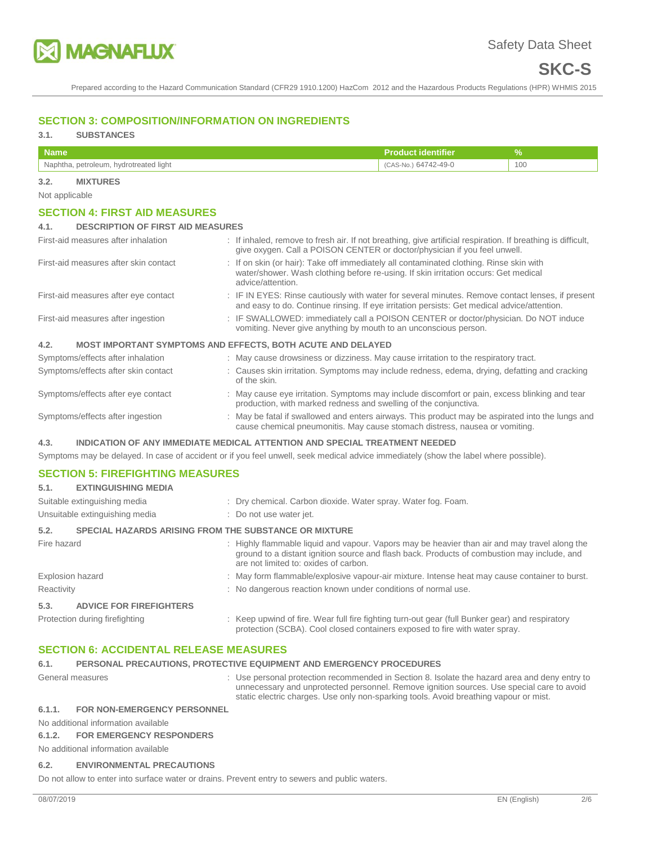

Prepared according to the Hazard Communication Standard (CFR29 1910.1200) HazCom 2012 and the Hazardous Products Regulations (HPR) WHMIS 2015

## **SECTION 3: COMPOSITION/INFORMATION ON INGREDIENTS**

# **3.1. SUBSTANCES**

| /Name                                  | <b>Product identifier</b> |     |
|----------------------------------------|---------------------------|-----|
| Naphtha, petroleum, hydrotreated light | CAS-No.) 64742-49-0       | 100 |

#### **3.2. MIXTURES**

Not applicable

#### **SECTION 4: FIRST AID MEASURES**

#### **4.1. DESCRIPTION OF FIRST AID MEASURES**

| First-aid measures after inhalation   | : If inhaled, remove to fresh air. If not breathing, give artificial respiration. If breathing is difficult,<br>give oxygen. Call a POISON CENTER or doctor/physician if you feel unwell.           |  |
|---------------------------------------|-----------------------------------------------------------------------------------------------------------------------------------------------------------------------------------------------------|--|
| First-aid measures after skin contact | : If on skin (or hair): Take off immediately all contaminated clothing. Rinse skin with<br>water/shower. Wash clothing before re-using. If skin irritation occurs: Get medical<br>advice/attention. |  |
| First-aid measures after eye contact  | : IF IN EYES: Rinse cautiously with water for several minutes. Remove contact lenses, if present<br>and easy to do. Continue rinsing. If eye irritation persists: Get medical advice/attention.     |  |
| First-aid measures after ingestion    | : IF SWALLOWED: immediately call a POISON CENTER or doctor/physician. Do NOT induce<br>vomiting. Never give anything by mouth to an unconscious person.                                             |  |
| 4.2.                                  | <b>MOST IMPORTANT SYMPTOMS AND EFFECTS, BOTH ACUTE AND DELAYED</b>                                                                                                                                  |  |
| Symptoms/effects after inhalation     | : May cause drowsiness or dizziness. May cause irritation to the respiratory tract.                                                                                                                 |  |
| Symptoms/effects after skin contact   | : Causes skin irritation. Symptoms may include redness, edema, drying, defatting and cracking<br>of the skin.                                                                                       |  |
| Symptoms/effects after eye contact    | : May cause eye irritation. Symptoms may include discomfort or pain, excess blinking and tear<br>production, with marked redness and swelling of the conjunctiva.                                   |  |
| Symptoms/effects after ingestion      | : May be fatal if swallowed and enters airways. This product may be aspirated into the lungs and<br>cause chemical pneumonitis. May cause stomach distress, nausea or vomiting.                     |  |

#### **4.3. INDICATION OF ANY IMMEDIATE MEDICAL ATTENTION AND SPECIAL TREATMENT NEEDED**

Symptoms may be delayed. In case of accident or if you feel unwell, seek medical advice immediately (show the label where possible).

### **SECTION 5: FIREFIGHTING MEASURES**

| 5.1.             | <b>EXTINGUISHING MEDIA</b>                                   |                                                                                                                                                                                                                                       |
|------------------|--------------------------------------------------------------|---------------------------------------------------------------------------------------------------------------------------------------------------------------------------------------------------------------------------------------|
|                  | Suitable extinguishing media                                 | : Dry chemical. Carbon dioxide. Water spray. Water fog. Foam.                                                                                                                                                                         |
|                  | Unsuitable extinguishing media                               | : Do not use water jet.                                                                                                                                                                                                               |
| 5.2.             | <b>SPECIAL HAZARDS ARISING FROM THE SUBSTANCE OR MIXTURE</b> |                                                                                                                                                                                                                                       |
| Fire hazard      |                                                              | : Highly flammable liquid and vapour. Vapors may be heavier than air and may travel along the<br>ground to a distant ignition source and flash back. Products of combustion may include, and<br>are not limited to: oxides of carbon. |
| Explosion hazard |                                                              | : May form flammable/explosive vapour-air mixture. Intense heat may cause container to burst.                                                                                                                                         |
| Reactivity       |                                                              | : No dangerous reaction known under conditions of normal use.                                                                                                                                                                         |
| 5.3.             | <b>ADVICE FOR FIREFIGHTERS</b>                               |                                                                                                                                                                                                                                       |
|                  | Protection during firefighting                               | : Keep upwind of fire. Wear full fire fighting turn-out gear (full Bunker gear) and respiratory                                                                                                                                       |

# protection (SCBA). Cool closed containers exposed to fire with water spray.

# **SECTION 6: ACCIDENTAL RELEASE MEASURES**

# **6.1. PERSONAL PRECAUTIONS, PROTECTIVE EQUIPMENT AND EMERGENCY PROCEDURES**

General measures **interval measures** : Use personal protection recommended in Section 8. Isolate the hazard area and deny entry to unnecessary and unprotected personnel. Remove ignition sources. Use special care to avoid static electric charges. Use only non-sparking tools. Avoid breathing vapour or mist.

## **6.1.1. FOR NON-EMERGENCY PERSONNEL**

No additional information available

#### **6.1.2. FOR EMERGENCY RESPONDERS**

No additional information available

#### **6.2. ENVIRONMENTAL PRECAUTIONS**

Do not allow to enter into surface water or drains. Prevent entry to sewers and public waters.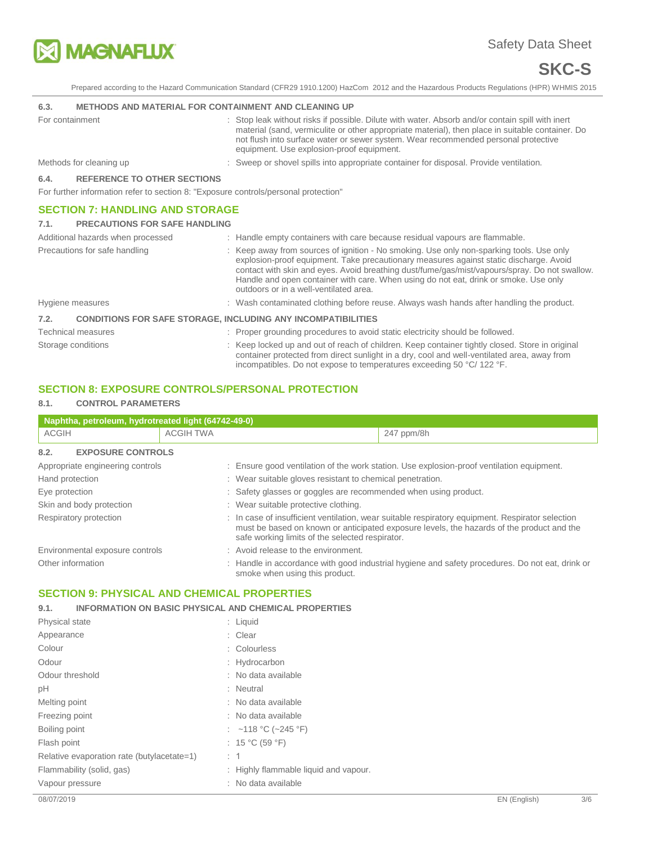

# Safety Data Sheet

# **SKC-S**

Prepared according to the Hazard Communication Standard (CFR29 1910.1200) HazCom 2012 and the Hazardous Products Regulations (HPR) WHMIS 2015

#### **6.3. METHODS AND MATERIAL FOR CONTAINMENT AND CLEANING UP**

| For containment |                                                                                     | : Stop leak without risks if possible. Dilute with water. Absorb and/or contain spill with inert<br>material (sand, vermiculite or other appropriate material), then place in suitable container. Do<br>not flush into surface water or sewer system. Wear recommended personal protective<br>equipment. Use explosion-proof equipment. |
|-----------------|-------------------------------------------------------------------------------------|-----------------------------------------------------------------------------------------------------------------------------------------------------------------------------------------------------------------------------------------------------------------------------------------------------------------------------------------|
|                 | Methods for cleaning up                                                             | : Sweep or shovel spills into appropriate container for disposal. Provide ventilation.                                                                                                                                                                                                                                                  |
| 6.4.            | <b>REFERENCE TO OTHER SECTIONS</b>                                                  |                                                                                                                                                                                                                                                                                                                                         |
|                 | For further information refer to section 8: "Exposure controls/personal protection" |                                                                                                                                                                                                                                                                                                                                         |
|                 | <b>SECTION 7: HANDLING AND STORAGE</b>                                              |                                                                                                                                                                                                                                                                                                                                         |
| 7.1.            | <b>PRECAUTIONS FOR SAFE HANDLING</b>                                                |                                                                                                                                                                                                                                                                                                                                         |
|                 | Additional hazards when processed                                                   | : Handle empty containers with care because residual vapours are flammable.                                                                                                                                                                                                                                                             |
|                 | Precautions for safe handling                                                       | : Keep away from sources of ignition - No smoking. Use only non-sparking tools. Use only<br>explosion-proof equipment. Take precautionary measures against static discharge. Avoid                                                                                                                                                      |

contact with skin and eyes. Avoid breathing dust/fume/gas/mist/vapours/spray. Do not swallow. Handle and open container with care. When using do not eat, drink or smoke. Use only outdoors or in a well-ventilated area.

# Hygiene measures **interpretatal in the contaminated clothing before reuse.** Always wash hands after handling the product.

# **7.2. CONDITIONS FOR SAFE STORAGE, INCLUDING ANY INCOMPATIBILITIES**

| Technical measures | : Proper grounding procedures to avoid static electricity should be followed.                                                                                                                  |
|--------------------|------------------------------------------------------------------------------------------------------------------------------------------------------------------------------------------------|
| Storage conditions | : Keep locked up and out of reach of children. Keep container tightly closed. Store in original<br>container protected from direct sunlight in a dry, cool and well-ventilated area, away from |
|                    | incompatibles. Do not expose to temperatures exceeding 50 °C/122 °F.                                                                                                                           |

# **SECTION 8: EXPOSURE CONTROLS/PERSONAL PROTECTION**

#### **8.1. CONTROL PARAMETERS**

| Naphtha, petroleum, hydrotreated light (64742-49-0) |                                                                 |                                                 |                                                                                                                                                                                               |
|-----------------------------------------------------|-----------------------------------------------------------------|-------------------------------------------------|-----------------------------------------------------------------------------------------------------------------------------------------------------------------------------------------------|
| <b>ACGIH</b>                                        | <b>ACGIH TWA</b>                                                |                                                 | 247 ppm/8h                                                                                                                                                                                    |
| 8.2.<br><b>EXPOSURE CONTROLS</b>                    |                                                                 |                                                 |                                                                                                                                                                                               |
| Appropriate engineering controls                    |                                                                 |                                                 | : Ensure good ventilation of the work station. Use explosion-proof ventilation equipment.                                                                                                     |
| Hand protection                                     | : Wear suitable gloves resistant to chemical penetration.       |                                                 |                                                                                                                                                                                               |
| Eye protection                                      | : Safety glasses or goggles are recommended when using product. |                                                 |                                                                                                                                                                                               |
| Skin and body protection                            |                                                                 | : Wear suitable protective clothing.            |                                                                                                                                                                                               |
| Respiratory protection                              |                                                                 | safe working limits of the selected respirator. | : In case of insufficient ventilation, wear suitable respiratory equipment. Respirator selection<br>must be based on known or anticipated exposure levels, the hazards of the product and the |
| Environmental exposure controls                     |                                                                 | : Avoid release to the environment.             |                                                                                                                                                                                               |
| Other information                                   |                                                                 | smoke when using this product.                  | : Handle in accordance with good industrial hygiene and safety procedures. Do not eat, drink or                                                                                               |

# **SECTION 9: PHYSICAL AND CHEMICAL PROPERTIES**

#### **9.1. INFORMATION ON BASIC PHYSICAL AND CHEMICAL PROPERTIES**

| <b>Physical state</b>                      | : Liquid                              |
|--------------------------------------------|---------------------------------------|
| Appearance                                 | : Clear                               |
| Colour                                     | : Colourless                          |
| Odour                                      | : Hydrocarbon                         |
| Odour threshold                            | : No data available                   |
| pH                                         | : Neutral                             |
| Melting point                              | : No data available                   |
| Freezing point                             | : No data available                   |
| Boiling point                              | : ~118 °C (~245 °F)                   |
| Flash point                                | : 15 °C (59 °F)                       |
| Relative evaporation rate (butylacetate=1) | : 1                                   |
| Flammability (solid, gas)                  | : Highly flammable liquid and vapour. |
| Vapour pressure                            | : No data available                   |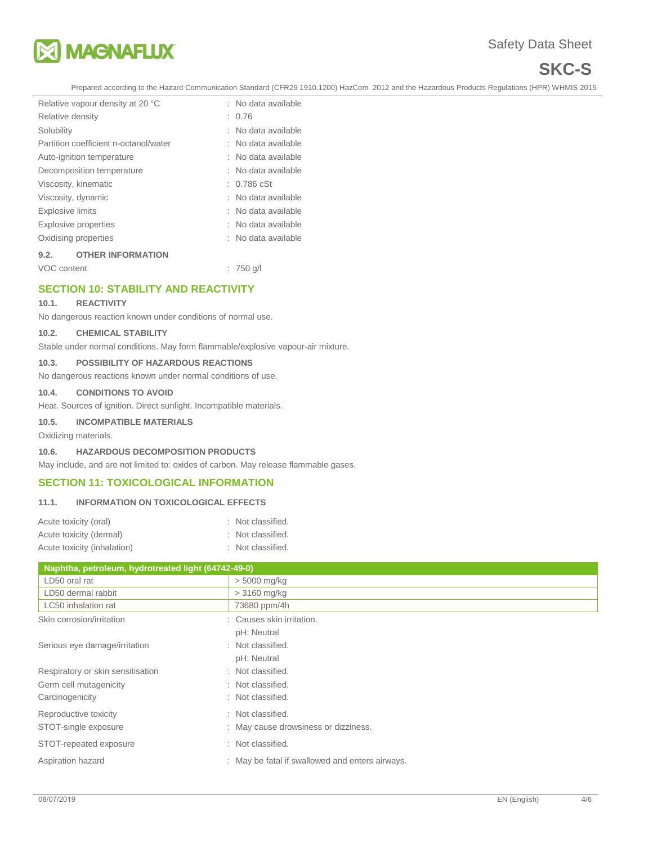

# **SKC-S**

Prepared according to the Hazard Communication Standard (CFR29 1910.1200) HazCom 2012 and the Hazardous Products Regulations (HPR) WHMIS 2015

|                           | Relative vapour density at 20 °C      |  | : No data available   |
|---------------------------|---------------------------------------|--|-----------------------|
| Relative density          |                                       |  | : 0.76                |
| Solubility                |                                       |  | : No data available   |
|                           | Partition coefficient n-octanol/water |  | : No data available   |
|                           | Auto-ignition temperature             |  | : No data available   |
| Decomposition temperature |                                       |  | : No data available   |
| Viscosity, kinematic      |                                       |  | $: 0.786 \text{ cSt}$ |
| Viscosity, dynamic        |                                       |  | : No data available   |
| <b>Explosive limits</b>   |                                       |  | : No data available   |
| Explosive properties      |                                       |  | : No data available   |
| Oxidising properties      |                                       |  | : No data available   |
| 9.2.                      | <b>OTHER INFORMATION</b>              |  |                       |
| VOC content               |                                       |  | $: 750$ q/l           |

# **SECTION 10: STABILITY AND REACTIVITY**

#### **10.1. REACTIVITY**

No dangerous reaction known under conditions of normal use.

## **10.2. CHEMICAL STABILITY**

Stable under normal conditions. May form flammable/explosive vapour-air mixture.

#### **10.3. POSSIBILITY OF HAZARDOUS REACTIONS**

No dangerous reactions known under normal conditions of use.

#### **10.4. CONDITIONS TO AVOID**

Heat. Sources of ignition. Direct sunlight. Incompatible materials.

#### **10.5. INCOMPATIBLE MATERIALS**

Oxidizing materials.

#### **10.6. HAZARDOUS DECOMPOSITION PRODUCTS**

May include, and are not limited to: oxides of carbon. May release flammable gases.

#### **SECTION 11: TOXICOLOGICAL INFORMATION**

#### **11.1. INFORMATION ON TOXICOLOGICAL EFFECTS**

| Acute toxicity (oral)       | : Not classified. |
|-----------------------------|-------------------|
| Acute toxicity (dermal)     | : Not classified. |
| Acute toxicity (inhalation) | : Not classified. |

| Naphtha, petroleum, hydrotreated light (64742-49-0) |                                                 |  |  |  |
|-----------------------------------------------------|-------------------------------------------------|--|--|--|
| LD50 oral rat                                       | $> 5000$ mg/kg                                  |  |  |  |
| LD50 dermal rabbit                                  | $>3160$ mg/kg                                   |  |  |  |
| LC50 inhalation rat                                 | 73680 ppm/4h                                    |  |  |  |
| Skin corrosion/irritation                           | : Causes skin irritation.                       |  |  |  |
|                                                     | pH: Neutral                                     |  |  |  |
| Serious eye damage/irritation                       | : Not classified.                               |  |  |  |
|                                                     | pH: Neutral                                     |  |  |  |
| Respiratory or skin sensitisation                   | : Not classified.                               |  |  |  |
| Germ cell mutagenicity                              | : Not classified.                               |  |  |  |
| Carcinogenicity                                     | : Not classified.                               |  |  |  |
| Reproductive toxicity                               | : Not classified.                               |  |  |  |
| STOT-single exposure                                | : May cause drowsiness or dizziness.            |  |  |  |
| STOT-repeated exposure                              | : Not classified.                               |  |  |  |
| Aspiration hazard                                   | : May be fatal if swallowed and enters airways. |  |  |  |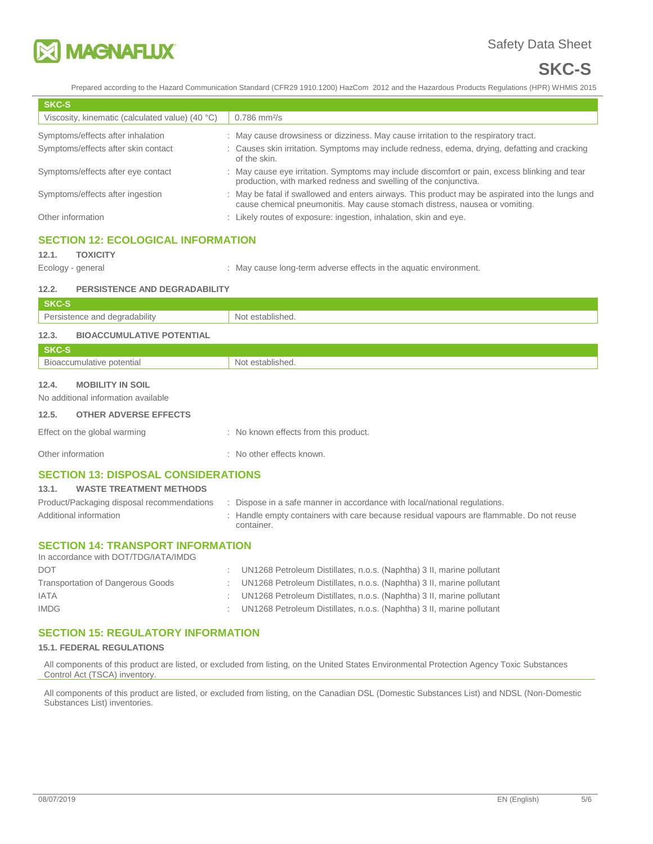

# **SKC-S**

Prepared according to the Hazard Communication Standard (CFR29 1910.1200) HazCom 2012 and the Hazardous Products Regulations (HPR) WHMIS 2015

| <b>SKC-S</b>                                    |                                                                                                                                                                                 |
|-------------------------------------------------|---------------------------------------------------------------------------------------------------------------------------------------------------------------------------------|
| Viscosity, kinematic (calculated value) (40 °C) | $0.786$ mm <sup>2</sup> /s                                                                                                                                                      |
| Symptoms/effects after inhalation               | : May cause drowsiness or dizziness. May cause irritation to the respiratory tract.                                                                                             |
| Symptoms/effects after skin contact             | : Causes skin irritation. Symptoms may include redness, edema, drying, defatting and cracking<br>of the skin.                                                                   |
| Symptoms/effects after eye contact              | : May cause eye irritation. Symptoms may include discomfort or pain, excess blinking and tear<br>production, with marked redness and swelling of the conjunctiva.               |
| Symptoms/effects after ingestion                | : May be fatal if swallowed and enters airways. This product may be aspirated into the lungs and<br>cause chemical pneumonitis. May cause stomach distress, nausea or vomiting. |
| Other information                               | : Likely routes of exposure: ingestion, inhalation, skin and eye.                                                                                                               |
|                                                 |                                                                                                                                                                                 |

# **SECTION 12: ECOLOGICAL INFORMATION**

### **12.1. TOXICITY**

Ecology - general **Ecology** - general  $\cdot$  May cause long-term adverse effects in the aquatic environment.

#### **12.2. PERSISTENCE AND DEGRADABILITY**

| SKC-S                                     |                  |
|-------------------------------------------|------------------|
| Persistence and degradability             | Not established. |
| 12.3.<br><b>BIOACCUMULATIVE POTENTIAL</b> |                  |
| C <sub>1</sub>                            |                  |

| ______<br><b>SKC-S</b>                                    |      |
|-----------------------------------------------------------|------|
| $\overline{\phantom{a}}$<br>⇒otentia∟<br>$\cdots$<br>TIVE | יוור |
|                                                           |      |

# **12.4. MOBILITY IN SOIL**

No additional information available

#### **12.5. OTHER ADVERSE EFFECTS**

| Effect on the global warming | : No known effects from this product. |
|------------------------------|---------------------------------------|
|                              |                                       |

Other information **interest in the contract of the Contract Contract Contract Contract Contract Contract Contract Contract Contract Contract Contract Contract Contract Contract Contract Contract Contract Contract Contract** 

# **SECTION 13: DISPOSAL CONSIDERATIONS**

# **13.1. WASTE TREATMENT METHODS**

| Product/Packaging disposal recommendations | Dispose in a safe manner in accordance with local/national regulations.                                |
|--------------------------------------------|--------------------------------------------------------------------------------------------------------|
| Additional information                     | : Handle empty containers with care because residual vapours are flammable. Do not reuse<br>container. |

#### **SECTION 14: TRANSPORT INFORMATION**  In accordance with DOT/TDG/IATA/IMDG

| <u>III accordance with DO M DOMATA INDO</u> |                                                                         |
|---------------------------------------------|-------------------------------------------------------------------------|
| <b>DOT</b>                                  | UN1268 Petroleum Distillates, n.o.s. (Naphtha) 3 II, marine pollutant   |
| <b>Transportation of Dangerous Goods</b>    | UN1268 Petroleum Distillates, n.o.s. (Naphtha) 3 II, marine pollutant   |
| <b>IATA</b>                                 | : UN1268 Petroleum Distillates, n.o.s. (Naphtha) 3 II, marine pollutant |
| <b>IMDG</b>                                 | UN1268 Petroleum Distillates, n.o.s. (Naphtha) 3 II, marine pollutant   |
|                                             |                                                                         |

# **SECTION 15: REGULATORY INFORMATION**

#### **15.1. FEDERAL REGULATIONS**

All components of this product are listed, or excluded from listing, on the United States Environmental Protection Agency Toxic Substances Control Act (TSCA) inventory.

All components of this product are listed, or excluded from listing, on the Canadian DSL (Domestic Substances List) and NDSL (Non-Domestic Substances List) inventories.